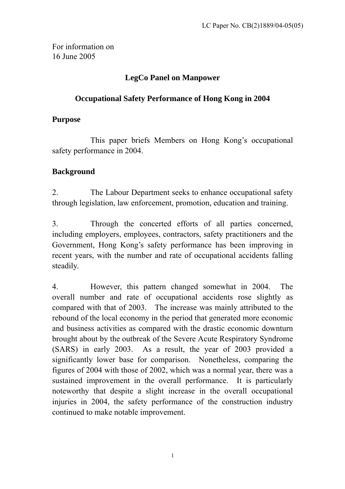For information on 16 June 2005

## **LegCo Panel on Manpower**

## **Occupational Safety Performance of Hong Kong in 2004**

## **Purpose**

This paper briefs Members on Hong Kong's occupational safety performance in 2004.

# **Background**

2. The Labour Department seeks to enhance occupational safety through legislation, law enforcement, promotion, education and training.

3. Through the concerted efforts of all parties concerned, including employers, employees, contractors, safety practitioners and the Government, Hong Kong's safety performance has been improving in recent years, with the number and rate of occupational accidents falling steadily.

4. However, this pattern changed somewhat in 2004. The overall number and rate of occupational accidents rose slightly as compared with that of 2003. The increase was mainly attributed to the rebound of the local economy in the period that generated more economic and business activities as compared with the drastic economic downturn brought about by the outbreak of the Severe Acute Respiratory Syndrome (SARS) in early 2003. As a result, the year of 2003 provided a significantly lower base for comparison. Nonetheless, comparing the figures of 2004 with those of 2002, which was a normal year, there was a sustained improvement in the overall performance. It is particularly noteworthy that despite a slight increase in the overall occupational injuries in 2004, the safety performance of the construction industry continued to make notable improvement.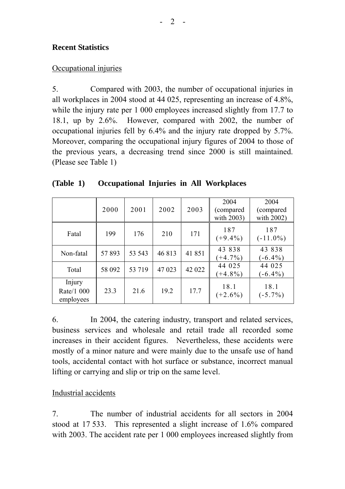### **Recent Statistics**

#### Occupational injuries

5. Compared with 2003, the number of occupational injuries in all workplaces in 2004 stood at 44 025, representing an increase of 4.8%, while the injury rate per 1 000 employees increased slightly from 17.7 to 18.1, up by 2.6%. However, compared with 2002, the number of occupational injuries fell by 6.4% and the injury rate dropped by 5.7%. Moreover, comparing the occupational injury figures of 2004 to those of the previous years, a decreasing trend since 2000 is still maintained. (Please see Table 1)

|                                   | 2000   | 2001   | 2002   | 2003   | 2004<br>(compared<br>with 2003) | 2004<br>(compared<br>with 2002) |
|-----------------------------------|--------|--------|--------|--------|---------------------------------|---------------------------------|
| Fatal                             | 199    | 176    | 210    | 171    | 187<br>$(+9.4\%)$               | 187<br>$(-11.0\%)$              |
| Non-fatal                         | 57893  | 53 543 | 46813  | 41851  | 43 838<br>$(+4.7\%)$            | 43 838<br>$-6.4\%$              |
| Total                             | 58 092 | 53 719 | 47 023 | 42 022 | 44 025<br>$(+4.8\%)$            | 44 025<br>$-6.4\%$              |
| Injury<br>Rate/1 000<br>employees | 23.3   | 21.6   | 19.2   | 17.7   | 18.1<br>$(+2.6\%)$              | 18.1<br>$(-5.7\%)$              |

| (Table 1) | Occupational Injuries in All Workplaces |  |  |  |
|-----------|-----------------------------------------|--|--|--|
|-----------|-----------------------------------------|--|--|--|

6. In 2004, the catering industry, transport and related services, business services and wholesale and retail trade all recorded some increases in their accident figures. Nevertheless, these accidents were mostly of a minor nature and were mainly due to the unsafe use of hand tools, accidental contact with hot surface or substance, incorrect manual lifting or carrying and slip or trip on the same level.

### Industrial accidents

7. The number of industrial accidents for all sectors in 2004 stood at 17 533. This represented a slight increase of 1.6% compared with 2003. The accident rate per 1 000 employees increased slightly from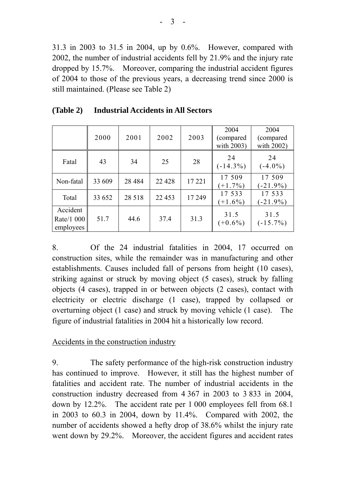31.3 in 2003 to 31.5 in 2004, up by 0.6%. However, compared with 2002, the number of industrial accidents fell by 21.9% and the injury rate dropped by 15.7%. Moreover, comparing the industrial accident figures of 2004 to those of the previous years, a decreasing trend since 2000 is still maintained. (Please see Table 2)

|                                     | 2000   | 2001     | 2002    | 2003   | 2004<br>(compared)<br>with 2003) | 2004<br>(compared)<br>with 2002) |
|-------------------------------------|--------|----------|---------|--------|----------------------------------|----------------------------------|
| Fatal                               | 43     | 34       | 25      | 28     | 24<br>$(-14.3\%)$                | 24<br>$(-4.0\%)$                 |
| Non-fatal                           | 33 609 | 28 4 8 4 | 22 4 28 | 17 221 | 17 509<br>$(+1.7\%)$             | 17 509<br>$(-21.9\%)$            |
| Total                               | 33 652 | 28 5 18  | 22 453  | 17 249 | 17 533<br>$(+1.6\%)$             | 17 533<br>$(-21.9\%)$            |
| Accident<br>Rate/1 000<br>employees | 51.7   | 44.6     | 37.4    | 31.3   | 31.5<br>$(+0.6\%)$               | 31.5<br>$(-15.7\%)$              |

8. Of the 24 industrial fatalities in 2004, 17 occurred on construction sites, while the remainder was in manufacturing and other establishments. Causes included fall of persons from height (10 cases), striking against or struck by moving object (5 cases), struck by falling objects (4 cases), trapped in or between objects (2 cases), contact with electricity or electric discharge (1 case), trapped by collapsed or overturning object (1 case) and struck by moving vehicle (1 case). The figure of industrial fatalities in 2004 hit a historically low record.

#### Accidents in the construction industry

9. The safety performance of the high-risk construction industry has continued to improve. However, it still has the highest number of fatalities and accident rate. The number of industrial accidents in the construction industry decreased from 4 367 in 2003 to 3 833 in 2004, down by 12.2%. The accident rate per 1 000 employees fell from 68.1 in 2003 to 60.3 in 2004, down by 11.4%. Compared with 2002, the number of accidents showed a hefty drop of 38.6% whilst the injury rate went down by 29.2%. Moreover, the accident figures and accident rates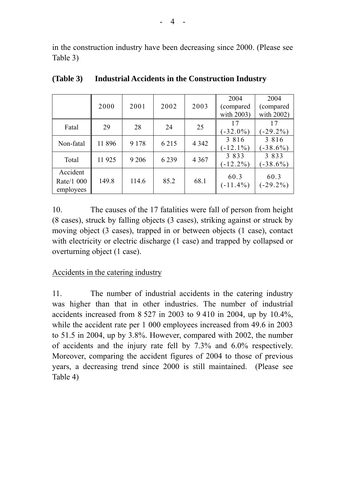in the construction industry have been decreasing since 2000. (Please see Table 3)

|                                     | 2000   | 2001    | 2002    | 2003    | 2004<br>(compared)<br>with 2003) | 2004<br>(compared<br>with 2002) |
|-------------------------------------|--------|---------|---------|---------|----------------------------------|---------------------------------|
| Fatal                               | 29     | 28      | 24      | 25      | 17<br>$(-32.0\%)$                | 17<br>$-29.2\%$                 |
| Non-fatal                           | 11 896 | 9 1 7 8 | 6 2 1 5 | 4 3 4 2 | 3 8 1 6<br>$-12.1\%$             | 3 8 1 6<br>$-38.6\%$            |
| Total                               | 11 925 | 9 2 0 6 | 6 2 3 9 | 4 3 6 7 | 3 8 3 3<br>$-12.2\%$             | 3 8 3 3<br>$-38.6\%$            |
| Accident<br>Rate/1 000<br>employees | 149.8  | 114.6   | 85.2    | 68.1    | 60.3<br>$(-11.4\%)$              | 60.3<br>$(-29.2\%)$             |

**(Table 3) Industrial Accidents in the Construction Industry** 

10. The causes of the 17 fatalities were fall of person from height (8 cases), struck by falling objects (3 cases), striking against or struck by moving object (3 cases), trapped in or between objects (1 case), contact with electricity or electric discharge (1 case) and trapped by collapsed or overturning object (1 case).

Accidents in the catering industry

11. The number of industrial accidents in the catering industry was higher than that in other industries. The number of industrial accidents increased from 8 527 in 2003 to 9 410 in 2004, up by 10.4%, while the accident rate per 1 000 employees increased from 49.6 in 2003 to 51.5 in 2004, up by 3.8%. However, compared with 2002, the number of accidents and the injury rate fell by 7.3% and 6.0% respectively. Moreover, comparing the accident figures of 2004 to those of previous years, a decreasing trend since 2000 is still maintained. (Please see Table 4)